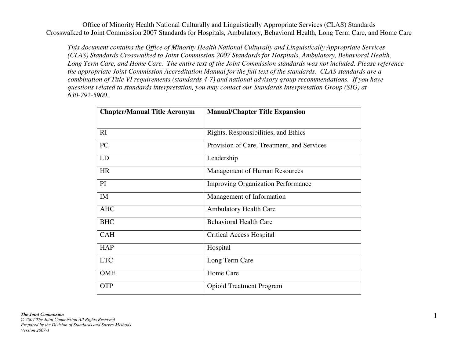*This document contains the Office of Minority Health National Culturally and Linguistically Appropriate Services (CLAS) Standards Crosswalked to Joint Commission 2007 Standards for Hospitals, Ambulatory, Behavioral Health, Long Term Care, and Home Care. The entire text of the Joint Commission standards was not included. Please reference the appropriate Joint Commission Accreditation Manual for the full text of the standards. CLAS standards are a combination of Title VI requirements (standards 4-7) and national advisory group recommendations. If you have questions related to standards interpretation, you may contact our Standards Interpretation Group (SIG) at630-792-5900.* 

| <b>Chapter/Manual Title Acronym</b> | <b>Manual/Chapter Title Expansion</b>      |
|-------------------------------------|--------------------------------------------|
|                                     |                                            |
| RI                                  | Rights, Responsibilities, and Ethics       |
| PC                                  | Provision of Care, Treatment, and Services |
| LD                                  | Leadership                                 |
| <b>HR</b>                           | <b>Management of Human Resources</b>       |
| PI                                  | <b>Improving Organization Performance</b>  |
| IM                                  | Management of Information                  |
| <b>AHC</b>                          | <b>Ambulatory Health Care</b>              |
| <b>BHC</b>                          | <b>Behavioral Health Care</b>              |
| <b>CAH</b>                          | <b>Critical Access Hospital</b>            |
| <b>HAP</b>                          | Hospital                                   |
| <b>LTC</b>                          | Long Term Care                             |
| <b>OME</b>                          | Home Care                                  |
| <b>OTP</b>                          | <b>Opioid Treatment Program</b>            |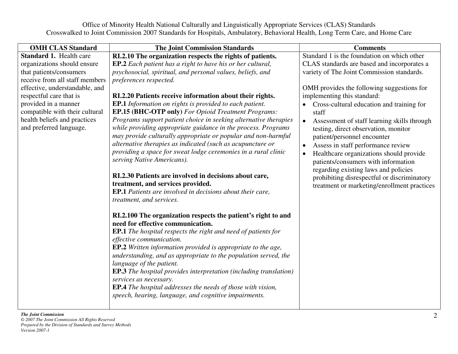| <b>OMH CLAS Standard</b>       | <b>The Joint Commission Standards</b>                                    | <b>Comments</b>                                          |
|--------------------------------|--------------------------------------------------------------------------|----------------------------------------------------------|
| <b>Standard 1. Health care</b> | RI.2.10 The organization respects the rights of patients.                | Standard 1 is the foundation on which other              |
| organizations should ensure    | <b>EP.2</b> Each patient has a right to have his or her cultural,        | CLAS standards are based and incorporates a              |
| that patients/consumers        | psychosocial, spiritual, and personal values, beliefs, and               | variety of The Joint Commission standards.               |
| receive from all staff members | preferences respected.                                                   |                                                          |
| effective, understandable, and |                                                                          | OMH provides the following suggestions for               |
| respectful care that is        | RI.2.20 Patients receive information about their rights.                 | implementing this standard:                              |
| provided in a manner           | EP.1 Information on rights is provided to each patient.                  | Cross-cultural education and training for                |
| compatible with their cultural | <b>EP.15 (BHC-OTP only)</b> For Opioid Treatment Programs:               | staff                                                    |
| health beliefs and practices   | Programs support patient choice in seeking alternative therapies         | Assessment of staff learning skills through<br>$\bullet$ |
| and preferred language.        | while providing appropriate guidance in the process. Programs            | testing, direct observation, monitor                     |
|                                | may provide culturally appropriate or popular and non-harmful            | patient/personnel encounter                              |
|                                | alternative therapies as indicated (such as acupuncture or               | Assess in staff performance review                       |
|                                | providing a space for sweat lodge ceremonies in a rural clinic           | Healthcare organizations should provide<br>$\bullet$     |
|                                | serving Native Americans).                                               | patients/consumers with information                      |
|                                |                                                                          | regarding existing laws and policies                     |
|                                | RI.2.30 Patients are involved in decisions about care,                   | prohibiting disrespectful or discriminatory              |
|                                | treatment, and services provided.                                        | treatment or marketing/enrollment practices              |
|                                | <b>EP.1</b> Patients are involved in decisions about their care,         |                                                          |
|                                | treatment, and services.                                                 |                                                          |
|                                | RI.2.100 The organization respects the patient's right to and            |                                                          |
|                                | need for effective communication.                                        |                                                          |
|                                | <b>EP.1</b> The hospital respects the right and need of patients for     |                                                          |
|                                | effective communication.                                                 |                                                          |
|                                | <b>EP.2</b> Written information provided is appropriate to the age,      |                                                          |
|                                | understanding, and as appropriate to the population served, the          |                                                          |
|                                | language of the patient.                                                 |                                                          |
|                                | <b>EP.3</b> The hospital provides interpretation (including translation) |                                                          |
|                                | services as necessary.                                                   |                                                          |
|                                | <b>EP.4</b> The hospital addresses the needs of those with vision,       |                                                          |
|                                | speech, hearing, language, and cognitive impairments.                    |                                                          |
|                                |                                                                          |                                                          |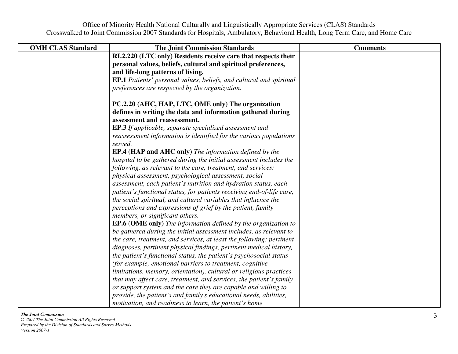| <b>OMH CLAS Standard</b> | <b>The Joint Commission Standards</b>                                         | <b>Comments</b> |
|--------------------------|-------------------------------------------------------------------------------|-----------------|
|                          | RI.2.220 (LTC only) Residents receive care that respects their                |                 |
|                          | personal values, beliefs, cultural and spiritual preferences,                 |                 |
|                          | and life-long patterns of living.                                             |                 |
|                          | <b>EP.1</b> Patients' personal values, beliefs, and cultural and spiritual    |                 |
|                          | preferences are respected by the organization.                                |                 |
|                          | PC.2.20 (AHC, HAP, LTC, OME only) The organization                            |                 |
|                          | defines in writing the data and information gathered during                   |                 |
|                          | assessment and reassessment.                                                  |                 |
|                          | <b>EP.3</b> If applicable, separate specialized assessment and                |                 |
|                          | reassessment information is identified for the various populations<br>served. |                 |
|                          | <b>EP.4 (HAP and AHC only)</b> The information defined by the                 |                 |
|                          | hospital to be gathered during the initial assessment includes the            |                 |
|                          | following, as relevant to the care, treatment, and services:                  |                 |
|                          | physical assessment, psychological assessment, social                         |                 |
|                          | assessment, each patient's nutrition and hydration status, each               |                 |
|                          | patient's functional status, for patients receiving end-of-life care,         |                 |
|                          | the social spiritual, and cultural variables that influence the               |                 |
|                          | perceptions and expressions of grief by the patient, family                   |                 |
|                          | members, or significant others.                                               |                 |
|                          | <b>EP.6 (OME only)</b> The information defined by the organization to         |                 |
|                          | be gathered during the initial assessment includes, as relevant to            |                 |
|                          | the care, treatment, and services, at least the following: pertinent          |                 |
|                          | diagnoses, pertinent physical findings, pertinent medical history,            |                 |
|                          | the patient's functional status, the patient's psychosocial status            |                 |
|                          | (for example, emotional barriers to treatment, cognitive                      |                 |
|                          | limitations, memory, orientation), cultural or religious practices            |                 |
|                          | that may affect care, treatment, and services, the patient's family           |                 |
|                          | or support system and the care they are capable and willing to                |                 |
|                          | provide, the patient's and family's educational needs, abilities,             |                 |
|                          | motivation, and readiness to learn, the patient's home                        |                 |

# *The Joint Commission*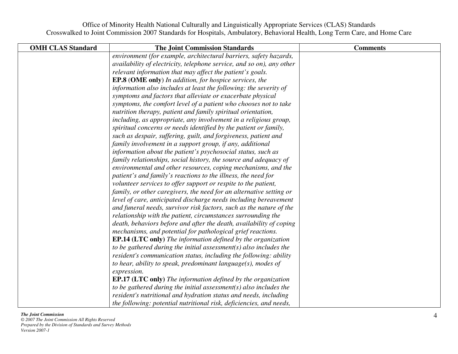| <b>OMH CLAS Standard</b> | <b>The Joint Commission Standards</b>                                 | <b>Comments</b> |
|--------------------------|-----------------------------------------------------------------------|-----------------|
|                          | environment (for example, architectural barriers, safety hazards,     |                 |
|                          | availability of electricity, telephone service, and so on), any other |                 |
|                          | relevant information that may affect the patient's goals.             |                 |
|                          | <b>EP.8 (OME only)</b> In addition, for hospice services, the         |                 |
|                          | information also includes at least the following: the severity of     |                 |
|                          | symptoms and factors that alleviate or exacerbate physical            |                 |
|                          | symptoms, the comfort level of a patient who chooses not to take      |                 |
|                          | nutrition therapy, patient and family spiritual orientation,          |                 |
|                          | including, as appropriate, any involvement in a religious group,      |                 |
|                          | spiritual concerns or needs identified by the patient or family,      |                 |
|                          | such as despair, suffering, guilt, and forgiveness, patient and       |                 |
|                          | family involvement in a support group, if any, additional             |                 |
|                          | information about the patient's psychosocial status, such as          |                 |
|                          | family relationships, social history, the source and adequacy of      |                 |
|                          | environmental and other resources, coping mechanisms, and the         |                 |
|                          | patient's and family's reactions to the illness, the need for         |                 |
|                          | volunteer services to offer support or respite to the patient,        |                 |
|                          | family, or other caregivers, the need for an alternative setting or   |                 |
|                          | level of care, anticipated discharge needs including bereavement      |                 |
|                          | and funeral needs, survivor risk factors, such as the nature of the   |                 |
|                          | relationship with the patient, circumstances surrounding the          |                 |
|                          | death, behaviors before and after the death, availability of coping   |                 |
|                          | mechanisms, and potential for pathological grief reactions.           |                 |
|                          | <b>EP.14 (LTC only)</b> The information defined by the organization   |                 |
|                          | to be gathered during the initial assessment( $s$ ) also includes the |                 |
|                          | resident's communication status, including the following: ability     |                 |
|                          | to hear, ability to speak, predominant language(s), modes of          |                 |
|                          | expression.                                                           |                 |
|                          | <b>EP.17 (LTC only)</b> The information defined by the organization   |                 |
|                          | to be gathered during the initial assessment( $s$ ) also includes the |                 |
|                          | resident's nutritional and hydration status and needs, including      |                 |
|                          | the following: potential nutritional risk, deficiencies, and needs,   |                 |

### *The Joint Commission*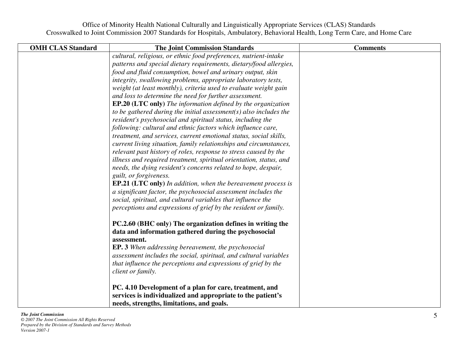| <b>OMH CLAS Standard</b> | <b>The Joint Commission Standards</b>                                 | <b>Comments</b> |
|--------------------------|-----------------------------------------------------------------------|-----------------|
|                          | cultural, religious, or ethnic food preferences, nutrient-intake      |                 |
|                          | patterns and special dietary requirements, dietary/food allergies,    |                 |
|                          | food and fluid consumption, bowel and urinary output, skin            |                 |
|                          | integrity, swallowing problems, appropriate laboratory tests,         |                 |
|                          | weight (at least monthly), criteria used to evaluate weight gain      |                 |
|                          | and loss to determine the need for further assessment.                |                 |
|                          | <b>EP.20 (LTC only)</b> The information defined by the organization   |                 |
|                          | to be gathered during the initial assessment( $s$ ) also includes the |                 |
|                          | resident's psychosocial and spiritual status, including the           |                 |
|                          | following: cultural and ethnic factors which influence care,          |                 |
|                          | treatment, and services, current emotional status, social skills,     |                 |
|                          | current living situation, family relationships and circumstances,     |                 |
|                          | relevant past history of roles, response to stress caused by the      |                 |
|                          | illness and required treatment, spiritual orientation, status, and    |                 |
|                          | needs, the dying resident's concerns related to hope, despair,        |                 |
|                          | guilt, or forgiveness.                                                |                 |
|                          | <b>EP.21 (LTC only)</b> In addition, when the bereavement process is  |                 |
|                          | a significant factor, the psychosocial assessment includes the        |                 |
|                          | social, spiritual, and cultural variables that influence the          |                 |
|                          | perceptions and expressions of grief by the resident or family.       |                 |
|                          | PC.2.60 (BHC only) The organization defines in writing the            |                 |
|                          | data and information gathered during the psychosocial                 |                 |
|                          | assessment.                                                           |                 |
|                          | <b>EP. 3</b> When addressing bereavement, the psychosocial            |                 |
|                          | assessment includes the social, spiritual, and cultural variables     |                 |
|                          | that influence the perceptions and expressions of grief by the        |                 |
|                          | client or family.                                                     |                 |
|                          | PC. 4.10 Development of a plan for care, treatment, and               |                 |
|                          | services is individualized and appropriate to the patient's           |                 |
|                          | needs, strengths, limitations, and goals.                             |                 |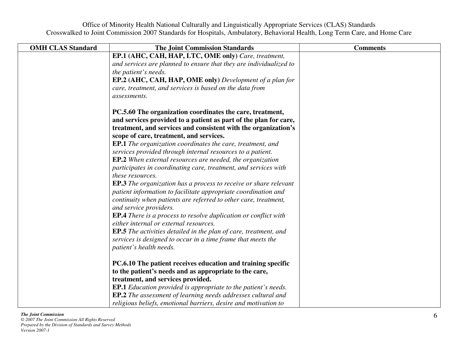| <b>OMH CLAS Standard</b> | <b>The Joint Commission Standards</b>                                                   | <b>Comments</b> |
|--------------------------|-----------------------------------------------------------------------------------------|-----------------|
|                          | EP.1 (AHC, CAH, HAP, LTC, OME only) Care, treatment,                                    |                 |
|                          | and services are planned to ensure that they are individualized to                      |                 |
|                          | the patient's needs.                                                                    |                 |
|                          | <b>EP.2 (AHC, CAH, HAP, OME only)</b> Development of a plan for                         |                 |
|                          | care, treatment, and services is based on the data from                                 |                 |
|                          | assessments.                                                                            |                 |
|                          | PC.5.60 The organization coordinates the care, treatment,                               |                 |
|                          | and services provided to a patient as part of the plan for care,                        |                 |
|                          | treatment, and services and consistent with the organization's                          |                 |
|                          | scope of care, treatment, and services.                                                 |                 |
|                          | <b>EP.1</b> The organization coordinates the care, treatment, and                       |                 |
|                          | services provided through internal resources to a patient.                              |                 |
|                          | <b>EP.2</b> When external resources are needed, the organization                        |                 |
|                          | participates in coordinating care, treatment, and services with                         |                 |
|                          | these resources.                                                                        |                 |
|                          | <b>EP.3</b> The organization has a process to receive or share relevant                 |                 |
|                          | patient information to facilitate appropriate coordination and                          |                 |
|                          | continuity when patients are referred to other care, treatment,                         |                 |
|                          | and service providers.                                                                  |                 |
|                          | <b>EP.4</b> There is a process to resolve duplication or conflict with                  |                 |
|                          | either internal or external resources.                                                  |                 |
|                          | <b>EP.5</b> The activities detailed in the plan of care, treatment, and                 |                 |
|                          | services is designed to occur in a time frame that meets the<br>patient's health needs. |                 |
|                          |                                                                                         |                 |
|                          | PC.6.10 The patient receives education and training specific                            |                 |
|                          | to the patient's needs and as appropriate to the care,                                  |                 |
|                          | treatment, and services provided.                                                       |                 |
|                          | <b>EP.1</b> Education provided is appropriate to the patient's needs.                   |                 |
|                          | EP.2 The assessment of learning needs addresses cultural and                            |                 |
|                          | religious beliefs, emotional barriers, desire and motivation to                         |                 |

# *The Joint Commission*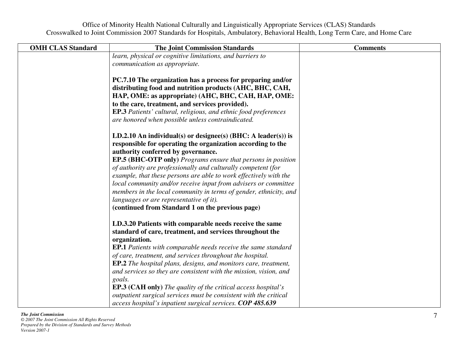| <b>OMH CLAS Standard</b> | <b>The Joint Commission Standards</b>                                                                                                                                                                                                                                                                                                                            | <b>Comments</b> |
|--------------------------|------------------------------------------------------------------------------------------------------------------------------------------------------------------------------------------------------------------------------------------------------------------------------------------------------------------------------------------------------------------|-----------------|
|                          | learn, physical or cognitive limitations, and barriers to                                                                                                                                                                                                                                                                                                        |                 |
|                          | communication as appropriate.                                                                                                                                                                                                                                                                                                                                    |                 |
|                          | PC.7.10 The organization has a process for preparing and/or<br>distributing food and nutrition products (AHC, BHC, CAH,<br>HAP, OME: as appropriate) (AHC, BHC, CAH, HAP, OME:<br>to the care, treatment, and services provided).<br><b>EP.3</b> Patients' cultural, religious, and ethnic food preferences<br>are honored when possible unless contraindicated. |                 |
|                          | LD.2.10 An individual(s) or designee(s) (BHC: A leader(s)) is<br>responsible for operating the organization according to the                                                                                                                                                                                                                                     |                 |
|                          | authority conferred by governance.                                                                                                                                                                                                                                                                                                                               |                 |
|                          | EP.5 (BHC-OTP only) Programs ensure that persons in position<br>of authority are professionally and culturally competent (for                                                                                                                                                                                                                                    |                 |
|                          | example, that these persons are able to work effectively with the                                                                                                                                                                                                                                                                                                |                 |
|                          | local community and/or receive input from advisers or committee                                                                                                                                                                                                                                                                                                  |                 |
|                          | members in the local community in terms of gender, ethnicity, and                                                                                                                                                                                                                                                                                                |                 |
|                          | languages or are representative of it).                                                                                                                                                                                                                                                                                                                          |                 |
|                          | (continued from Standard 1 on the previous page)                                                                                                                                                                                                                                                                                                                 |                 |
|                          | LD.3.20 Patients with comparable needs receive the same                                                                                                                                                                                                                                                                                                          |                 |
|                          | standard of care, treatment, and services throughout the<br>organization.                                                                                                                                                                                                                                                                                        |                 |
|                          | <b>EP.1</b> Patients with comparable needs receive the same standard                                                                                                                                                                                                                                                                                             |                 |
|                          | of care, treatment, and services throughout the hospital.                                                                                                                                                                                                                                                                                                        |                 |
|                          | <b>EP.2</b> The hospital plans, designs, and monitors care, treatment,                                                                                                                                                                                                                                                                                           |                 |
|                          | and services so they are consistent with the mission, vision, and                                                                                                                                                                                                                                                                                                |                 |
|                          | goals.                                                                                                                                                                                                                                                                                                                                                           |                 |
|                          | <b>EP.3 (CAH only)</b> The quality of the critical access hospital's<br>outpatient surgical services must be consistent with the critical                                                                                                                                                                                                                        |                 |
|                          | access hospital's inpatient surgical services. COP 485.639                                                                                                                                                                                                                                                                                                       |                 |

# *The Joint Commission*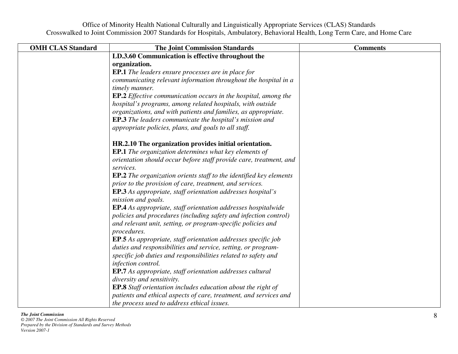| <b>OMH CLAS Standard</b> | <b>The Joint Commission Standards</b>                                           | <b>Comments</b> |
|--------------------------|---------------------------------------------------------------------------------|-----------------|
|                          | LD.3.60 Communication is effective throughout the                               |                 |
|                          | organization.                                                                   |                 |
|                          | <b>EP.1</b> The leaders ensure processes are in place for                       |                 |
|                          | communicating relevant information throughout the hospital in a                 |                 |
|                          | timely manner.                                                                  |                 |
|                          | <b>EP.2</b> Effective communication occurs in the hospital, among the           |                 |
|                          | hospital's programs, among related hospitals, with outside                      |                 |
|                          | organizations, and with patients and families, as appropriate.                  |                 |
|                          | <b>EP.3</b> The leaders communicate the hospital's mission and                  |                 |
|                          | appropriate policies, plans, and goals to all staff.                            |                 |
|                          | HR.2.10 The organization provides initial orientation.                          |                 |
|                          | <b>EP.1</b> The organization determines what key elements of                    |                 |
|                          | orientation should occur before staff provide care, treatment, and<br>services. |                 |
|                          | <b>EP.2</b> The organization orients staff to the identified key elements       |                 |
|                          | prior to the provision of care, treatment, and services.                        |                 |
|                          | <b>EP.3</b> As appropriate, staff orientation addresses hospital's              |                 |
|                          | mission and goals.                                                              |                 |
|                          | <b>EP.4</b> As appropriate, staff orientation addresses hospitalwide            |                 |
|                          | policies and procedures (including safety and infection control)                |                 |
|                          | and relevant unit, setting, or program-specific policies and                    |                 |
|                          | procedures.                                                                     |                 |
|                          | <b>EP.5</b> As appropriate, staff orientation addresses specific job            |                 |
|                          | duties and responsibilities and service, setting, or program-                   |                 |
|                          | specific job duties and responsibilities related to safety and                  |                 |
|                          | infection control.                                                              |                 |
|                          | <b>EP.7</b> As appropriate, staff orientation addresses cultural                |                 |
|                          | diversity and sensitivity.                                                      |                 |
|                          | <b>EP.8</b> Staff orientation includes education about the right of             |                 |
|                          | patients and ethical aspects of care, treatment, and services and               |                 |
|                          | the process used to address ethical issues.                                     |                 |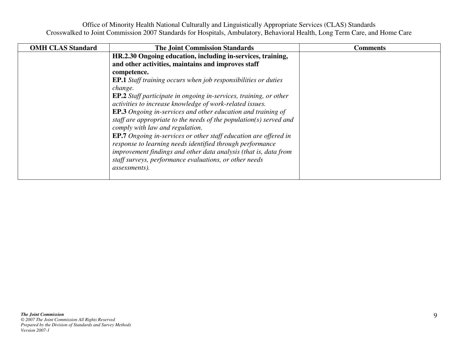| <b>OMH CLAS Standard</b> | <b>The Joint Commission Standards</b>                                    | <b>Comments</b> |
|--------------------------|--------------------------------------------------------------------------|-----------------|
|                          | HR.2.30 Ongoing education, including in-services, training,              |                 |
|                          | and other activities, maintains and improves staff                       |                 |
|                          | competence.                                                              |                 |
|                          | <b>EP.1</b> Staff training occurs when job responsibilities or duties    |                 |
|                          | change.                                                                  |                 |
|                          | <b>EP.2</b> Staff participate in ongoing in-services, training, or other |                 |
|                          | activities to increase knowledge of work-related issues.                 |                 |
|                          | <b>EP.3</b> Ongoing in-services and other education and training of      |                 |
|                          | staff are appropriate to the needs of the population( $s$ ) served and   |                 |
|                          | comply with law and regulation.                                          |                 |
|                          | <b>EP.7</b> Ongoing in-services or other staff education are offered in  |                 |
|                          | response to learning needs identified through performance                |                 |
|                          | improvement findings and other data analysis (that is, data from         |                 |
|                          | staff surveys, performance evaluations, or other needs                   |                 |
|                          | assessments).                                                            |                 |
|                          |                                                                          |                 |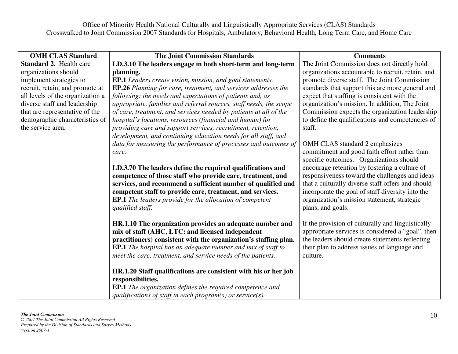| <b>OMH CLAS Standard</b>         | <b>The Joint Commission Standards</b>                                                                                        | <b>Comments</b>                                                                                 |
|----------------------------------|------------------------------------------------------------------------------------------------------------------------------|-------------------------------------------------------------------------------------------------|
| <b>Standard 2. Health care</b>   | LD.3.10 The leaders engage in both short-term and long-term                                                                  | The Joint Commission does not directly hold                                                     |
| organizations should             | planning.                                                                                                                    | organizations accountable to recruit, retain, and                                               |
| implement strategies to          | EP.1 Leaders create vision, mission, and goal statements.                                                                    | promote diverse staff. The Joint Commission                                                     |
| recruit, retain, and promote at  | EP.26 Planning for care, treatment, and services addresses the                                                               | standards that support this are more general and                                                |
| all levels of the organization a | following: the needs and expectations of patients and, as                                                                    | expect that staffing is consistent with the                                                     |
| diverse staff and leadership     | appropriate, families and referral sources, staff needs, the scope                                                           | organization's mission. In addition, The Joint                                                  |
| that are representative of the   | of care, treatment, and services needed by patients at all of the                                                            | Commission expects the organization leadership                                                  |
| demographic characteristics of   | hospital's locations, resources (financial and human) for                                                                    | to define the qualifications and competencies of                                                |
| the service area.                | providing care and support services, recruitment, retention,                                                                 | staff.                                                                                          |
|                                  | development, and continuing education needs for all staff, and                                                               |                                                                                                 |
|                                  | data for measuring the performance of processes and outcomes of                                                              | OMH CLAS standard 2 emphasizes                                                                  |
|                                  | care.                                                                                                                        | commitment and good faith effort rather than                                                    |
|                                  |                                                                                                                              | specific outcomes. Organizations should                                                         |
|                                  | LD.3.70 The leaders define the required qualifications and                                                                   | encourage retention by fostering a culture of                                                   |
|                                  | competence of those staff who provide care, treatment, and                                                                   | responsiveness toward the challenges and ideas                                                  |
|                                  | services, and recommend a sufficient number of qualified and                                                                 | that a culturally diverse staff offers and should                                               |
|                                  | competent staff to provide care, treatment, and services.<br><b>EP.1</b> The leaders provide for the allocation of competent | incorporate the goal of staff diversity into the<br>organization's mission statement, strategic |
|                                  | qualified staff.                                                                                                             | plans, and goals.                                                                               |
|                                  |                                                                                                                              |                                                                                                 |
|                                  | HR.1.10 The organization provides an adequate number and                                                                     | If the provision of culturally and linguistically                                               |
|                                  | mix of staff (AHC, LTC: and licensed independent                                                                             | appropriate services is considered a "goal", then                                               |
|                                  | practitioners) consistent with the organization's staffing plan.                                                             | the leaders should create statements reflecting                                                 |
|                                  | <b>EP.1</b> The hospital has an adequate number and mix of staff to                                                          | their plan to address issues of language and                                                    |
|                                  | meet the care, treatment, and service needs of the patients.                                                                 | culture.                                                                                        |
|                                  |                                                                                                                              |                                                                                                 |
|                                  | HR.1.20 Staff qualifications are consistent with his or her job                                                              |                                                                                                 |
|                                  | responsibilities.                                                                                                            |                                                                                                 |
|                                  | <b>EP.1</b> The organization defines the required competence and                                                             |                                                                                                 |
|                                  | qualifications of staff in each program(s) or service(s).                                                                    |                                                                                                 |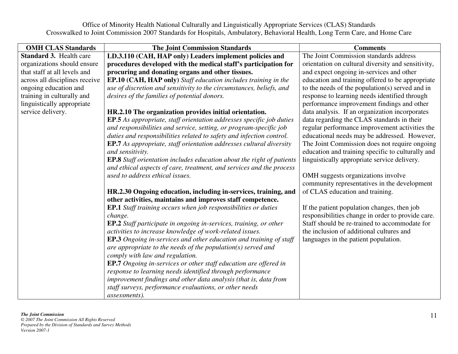| The Joint Commission standards address<br><b>Standard 3. Health care</b><br>LD.3.110 (CAH, HAP only) Leaders implement policies and                         |  |
|-------------------------------------------------------------------------------------------------------------------------------------------------------------|--|
|                                                                                                                                                             |  |
| organizations should ensure<br>procedures developed with the medical staff's participation for<br>orientation on cultural diversity and sensitivity,        |  |
| that staff at all levels and<br>procuring and donating organs and other tissues.<br>and expect ongoing in-services and other                                |  |
| education and training offered to be appropriate<br>across all disciplines receive<br><b>EP.10 (CAH, HAP only)</b> Staff education includes training in the |  |
| to the needs of the population(s) served and in<br>ongoing education and<br>use of discretion and sensitivity to the circumstances, beliefs, and            |  |
| training in culturally and<br>response to learning needs identified through<br>desires of the families of potential donors.                                 |  |
| performance improvement findings and other<br>linguistically appropriate                                                                                    |  |
| service delivery.<br>data analysis. If an organization incorporates<br>HR.2.10 The organization provides initial orientation.                               |  |
| <b>EP.5</b> As appropriate, staff orientation addresses specific job duties<br>data regarding the CLAS standards in their                                   |  |
| and responsibilities and service, setting, or program-specific job<br>regular performance improvement activities the                                        |  |
| duties and responsibilities related to safety and infection control.<br>educational needs may be addressed. However,                                        |  |
| The Joint Commission does not require ongoing<br><b>EP.7</b> As appropriate, staff orientation addresses cultural diversity                                 |  |
| education and training specific to culturally and<br>and sensitivity.                                                                                       |  |
| linguistically appropriate service delivery.<br><b>EP.8</b> Staff orientation includes education about the right of patients                                |  |
| and ethical aspects of care, treatment, and services and the process                                                                                        |  |
| used to address ethical issues.<br>OMH suggests organizations involve                                                                                       |  |
| community representatives in the development                                                                                                                |  |
| of CLAS education and training.<br>HR.2.30 Ongoing education, including in-services, training, and                                                          |  |
| other activities, maintains and improves staff competence.                                                                                                  |  |
| <b>EP.1</b> Staff training occurs when job responsibilities or duties<br>If the patient population changes, then job                                        |  |
| responsibilities change in order to provide care.<br>change.                                                                                                |  |
| Staff should be re-trained to accommodate for<br><b>EP.2</b> Staff participate in ongoing in-services, training, or other                                   |  |
| the inclusion of additional cultures and<br>activities to increase knowledge of work-related issues.                                                        |  |
| <b>EP.3</b> Ongoing in-services and other education and training of staff<br>languages in the patient population.                                           |  |
| are appropriate to the needs of the population( $s$ ) served and                                                                                            |  |
| comply with law and regulation.                                                                                                                             |  |
| <b>EP.7</b> Ongoing in-services or other staff education are offered in                                                                                     |  |
| response to learning needs identified through performance<br>improvement findings and other data analysis (that is, data from                               |  |
| staff surveys, performance evaluations, or other needs                                                                                                      |  |
| assessments).                                                                                                                                               |  |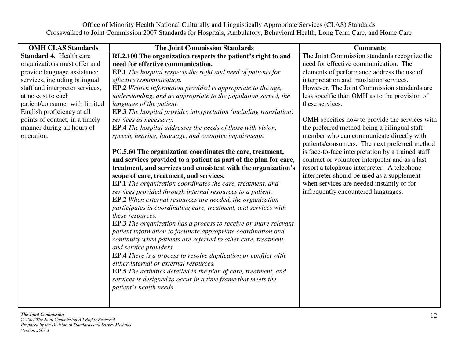| <b>OMH CLAS Standards</b>       | <b>The Joint Commission Standards</b>                                    | <b>Comments</b>                                   |
|---------------------------------|--------------------------------------------------------------------------|---------------------------------------------------|
| <b>Standard 4. Health care</b>  | RI.2.100 The organization respects the patient's right to and            | The Joint Commission standards recognize the      |
| organizations must offer and    | need for effective communication.                                        | need for effective communication. The             |
| provide language assistance     | <b>EP.1</b> The hospital respects the right and need of patients for     | elements of performance address the use of        |
| services, including bilingual   | effective communication.                                                 | interpretation and translation services.          |
| staff and interpreter services, | EP.2 Written information provided is appropriate to the age,             | However, The Joint Commission standards are       |
| at no cost to each              | understanding, and as appropriate to the population served, the          | less specific than OMH as to the provision of     |
| patient/consumer with limited   | language of the patient.                                                 | these services.                                   |
| English proficiency at all      | <b>EP.3</b> The hospital provides interpretation (including translation) |                                                   |
| points of contact, in a timely  | services as necessary.                                                   | OMH specifies how to provide the services with    |
| manner during all hours of      | <b>EP.4</b> The hospital addresses the needs of those with vision,       | the preferred method being a bilingual staff      |
| operation.                      | speech, hearing, language, and cognitive impairments.                    | member who can communicate directly with          |
|                                 |                                                                          | patients/consumers. The next preferred method     |
|                                 | PC.5.60 The organization coordinates the care, treatment,                | is face-to-face interpretation by a trained staff |
|                                 | and services provided to a patient as part of the plan for care,         | contract or volunteer interpreter and as a last   |
|                                 | treatment, and services and consistent with the organization's           | resort a telephone interpreter. A telephone       |
|                                 | scope of care, treatment, and services.                                  | interpreter should be used as a supplement        |
|                                 | <b>EP.1</b> The organization coordinates the care, treatment, and        | when services are needed instantly or for         |
|                                 | services provided through internal resources to a patient.               | infrequently encountered languages.               |
|                                 | EP.2 When external resources are needed, the organization                |                                                   |
|                                 | participates in coordinating care, treatment, and services with          |                                                   |
|                                 | these resources.                                                         |                                                   |
|                                 | <b>EP.3</b> The organization has a process to receive or share relevant  |                                                   |
|                                 | patient information to facilitate appropriate coordination and           |                                                   |
|                                 | continuity when patients are referred to other care, treatment,          |                                                   |
|                                 | and service providers.                                                   |                                                   |
|                                 | <b>EP.4</b> There is a process to resolve duplication or conflict with   |                                                   |
|                                 | either internal or external resources.                                   |                                                   |
|                                 | <b>EP.5</b> The activities detailed in the plan of care, treatment, and  |                                                   |
|                                 | services is designed to occur in a time frame that meets the             |                                                   |
|                                 | patient's health needs.                                                  |                                                   |
|                                 |                                                                          |                                                   |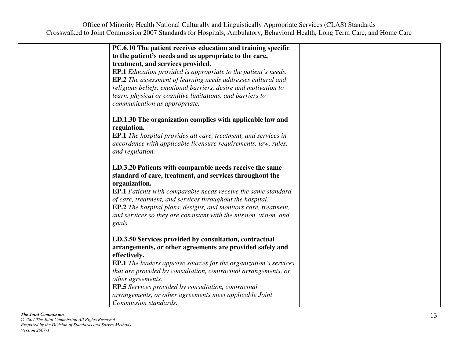| PC.6.10 The patient receives education and training specific            |                                                                                                                                                                                                                                                                                                                                                                                                                                                                                                                                                                                                                                                                                                                                                                                                  |
|-------------------------------------------------------------------------|--------------------------------------------------------------------------------------------------------------------------------------------------------------------------------------------------------------------------------------------------------------------------------------------------------------------------------------------------------------------------------------------------------------------------------------------------------------------------------------------------------------------------------------------------------------------------------------------------------------------------------------------------------------------------------------------------------------------------------------------------------------------------------------------------|
| to the patient's needs and as appropriate to the care,                  |                                                                                                                                                                                                                                                                                                                                                                                                                                                                                                                                                                                                                                                                                                                                                                                                  |
| treatment, and services provided.                                       |                                                                                                                                                                                                                                                                                                                                                                                                                                                                                                                                                                                                                                                                                                                                                                                                  |
|                                                                         |                                                                                                                                                                                                                                                                                                                                                                                                                                                                                                                                                                                                                                                                                                                                                                                                  |
| <b>EP.2</b> The assessment of learning needs addresses cultural and     |                                                                                                                                                                                                                                                                                                                                                                                                                                                                                                                                                                                                                                                                                                                                                                                                  |
| religious beliefs, emotional barriers, desire and motivation to         |                                                                                                                                                                                                                                                                                                                                                                                                                                                                                                                                                                                                                                                                                                                                                                                                  |
|                                                                         |                                                                                                                                                                                                                                                                                                                                                                                                                                                                                                                                                                                                                                                                                                                                                                                                  |
| communication as appropriate.                                           |                                                                                                                                                                                                                                                                                                                                                                                                                                                                                                                                                                                                                                                                                                                                                                                                  |
|                                                                         |                                                                                                                                                                                                                                                                                                                                                                                                                                                                                                                                                                                                                                                                                                                                                                                                  |
|                                                                         |                                                                                                                                                                                                                                                                                                                                                                                                                                                                                                                                                                                                                                                                                                                                                                                                  |
|                                                                         |                                                                                                                                                                                                                                                                                                                                                                                                                                                                                                                                                                                                                                                                                                                                                                                                  |
|                                                                         |                                                                                                                                                                                                                                                                                                                                                                                                                                                                                                                                                                                                                                                                                                                                                                                                  |
| and regulation.                                                         |                                                                                                                                                                                                                                                                                                                                                                                                                                                                                                                                                                                                                                                                                                                                                                                                  |
|                                                                         |                                                                                                                                                                                                                                                                                                                                                                                                                                                                                                                                                                                                                                                                                                                                                                                                  |
|                                                                         |                                                                                                                                                                                                                                                                                                                                                                                                                                                                                                                                                                                                                                                                                                                                                                                                  |
|                                                                         |                                                                                                                                                                                                                                                                                                                                                                                                                                                                                                                                                                                                                                                                                                                                                                                                  |
|                                                                         |                                                                                                                                                                                                                                                                                                                                                                                                                                                                                                                                                                                                                                                                                                                                                                                                  |
|                                                                         |                                                                                                                                                                                                                                                                                                                                                                                                                                                                                                                                                                                                                                                                                                                                                                                                  |
|                                                                         |                                                                                                                                                                                                                                                                                                                                                                                                                                                                                                                                                                                                                                                                                                                                                                                                  |
|                                                                         |                                                                                                                                                                                                                                                                                                                                                                                                                                                                                                                                                                                                                                                                                                                                                                                                  |
|                                                                         |                                                                                                                                                                                                                                                                                                                                                                                                                                                                                                                                                                                                                                                                                                                                                                                                  |
|                                                                         |                                                                                                                                                                                                                                                                                                                                                                                                                                                                                                                                                                                                                                                                                                                                                                                                  |
| LD.3.50 Services provided by consultation, contractual                  |                                                                                                                                                                                                                                                                                                                                                                                                                                                                                                                                                                                                                                                                                                                                                                                                  |
| arrangements, or other agreements are provided safely and               |                                                                                                                                                                                                                                                                                                                                                                                                                                                                                                                                                                                                                                                                                                                                                                                                  |
| effectively.                                                            |                                                                                                                                                                                                                                                                                                                                                                                                                                                                                                                                                                                                                                                                                                                                                                                                  |
| <b>EP.1</b> The leaders approve sources for the organization's services |                                                                                                                                                                                                                                                                                                                                                                                                                                                                                                                                                                                                                                                                                                                                                                                                  |
| that are provided by consultation, contractual arrangements, or         |                                                                                                                                                                                                                                                                                                                                                                                                                                                                                                                                                                                                                                                                                                                                                                                                  |
| other agreements.                                                       |                                                                                                                                                                                                                                                                                                                                                                                                                                                                                                                                                                                                                                                                                                                                                                                                  |
| <b>EP.5</b> Services provided by consultation, contractual              |                                                                                                                                                                                                                                                                                                                                                                                                                                                                                                                                                                                                                                                                                                                                                                                                  |
| arrangements, or other agreements meet applicable Joint                 |                                                                                                                                                                                                                                                                                                                                                                                                                                                                                                                                                                                                                                                                                                                                                                                                  |
| Commission standards.                                                   |                                                                                                                                                                                                                                                                                                                                                                                                                                                                                                                                                                                                                                                                                                                                                                                                  |
|                                                                         | <b>EP.1</b> Education provided is appropriate to the patient's needs.<br>learn, physical or cognitive limitations, and barriers to<br>LD.1.30 The organization complies with applicable law and<br>regulation.<br><b>EP.1</b> The hospital provides all care, treatment, and services in<br>accordance with applicable licensure requirements, law, rules,<br>LD.3.20 Patients with comparable needs receive the same<br>standard of care, treatment, and services throughout the<br>organization.<br><b>EP.1</b> Patients with comparable needs receive the same standard<br>of care, treatment, and services throughout the hospital.<br><b>EP.2</b> The hospital plans, designs, and monitors care, treatment,<br>and services so they are consistent with the mission, vision, and<br>goals. |

### *The Joint Commission*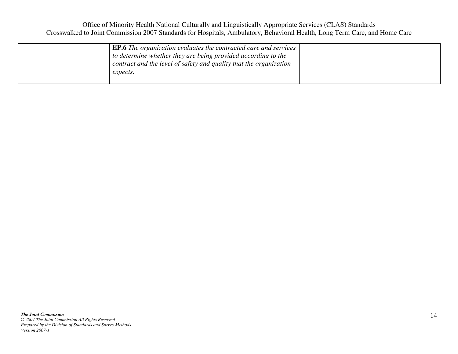| <b>EP.6</b> The organization evaluates the contracted care and services<br>to determine whether they are being provided according to the<br>contract and the level of safety and quality that the organization |  |
|----------------------------------------------------------------------------------------------------------------------------------------------------------------------------------------------------------------|--|
| expects.                                                                                                                                                                                                       |  |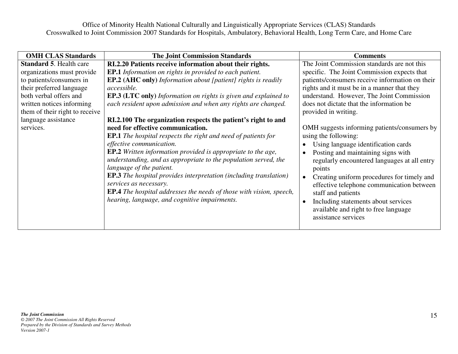| <b>OMH CLAS Standards</b>                                                                                                                                                                                                                         | <b>The Joint Commission Standards</b>                                                                                                                                                                                                                                                                                                                                                                                                                                                                                                                                                                                                                                                                                                                                                                                                                                                                                                                                             | <b>Comments</b>                                                                                                                                                                                                                                                                                                                                                                                                                                                                                                                                                                                                                                                                                                                                                                  |
|---------------------------------------------------------------------------------------------------------------------------------------------------------------------------------------------------------------------------------------------------|-----------------------------------------------------------------------------------------------------------------------------------------------------------------------------------------------------------------------------------------------------------------------------------------------------------------------------------------------------------------------------------------------------------------------------------------------------------------------------------------------------------------------------------------------------------------------------------------------------------------------------------------------------------------------------------------------------------------------------------------------------------------------------------------------------------------------------------------------------------------------------------------------------------------------------------------------------------------------------------|----------------------------------------------------------------------------------------------------------------------------------------------------------------------------------------------------------------------------------------------------------------------------------------------------------------------------------------------------------------------------------------------------------------------------------------------------------------------------------------------------------------------------------------------------------------------------------------------------------------------------------------------------------------------------------------------------------------------------------------------------------------------------------|
| <b>Standard 5. Health care</b><br>organizations must provide<br>to patients/consumers in<br>their preferred language<br>both verbal offers and<br>written notices informing<br>them of their right to receive<br>language assistance<br>services. | RI.2.20 Patients receive information about their rights.<br><b>EP.1</b> Information on rights in provided to each patient.<br><b>EP.2 (AHC only)</b> Information about [patient] rights is readily<br>accessible.<br><b>EP.3 (LTC only)</b> Information on rights is given and explained to<br>each resident upon admission and when any rights are changed.<br>RI.2.100 The organization respects the patient's right to and<br>need for effective communication.<br><b>EP.1</b> The hospital respects the right and need of patients for<br>effective communication.<br><b>EP.2</b> Written information provided is appropriate to the age,<br>understanding, and as appropriate to the population served, the<br>language of the patient.<br><b>EP.3</b> The hospital provides interpretation (including translation)<br>services as necessary.<br><b>EP.4</b> The hospital addresses the needs of those with vision, speech,<br>hearing, language, and cognitive impairments. | The Joint Commission standards are not this<br>specific. The Joint Commission expects that<br>patients/consumers receive information on their<br>rights and it must be in a manner that they<br>understand. However, The Joint Commission<br>does not dictate that the information be<br>provided in writing.<br>OMH suggests informing patients/consumers by<br>using the following:<br>Using language identification cards<br>$\bullet$<br>Posting and maintaining signs with<br>$\bullet$<br>regularly encountered languages at all entry<br>points<br>Creating uniform procedures for timely and<br>$\bullet$<br>effective telephone communication between<br>staff and patients<br>Including statements about services<br>$\bullet$<br>available and right to free language |
|                                                                                                                                                                                                                                                   |                                                                                                                                                                                                                                                                                                                                                                                                                                                                                                                                                                                                                                                                                                                                                                                                                                                                                                                                                                                   | assistance services                                                                                                                                                                                                                                                                                                                                                                                                                                                                                                                                                                                                                                                                                                                                                              |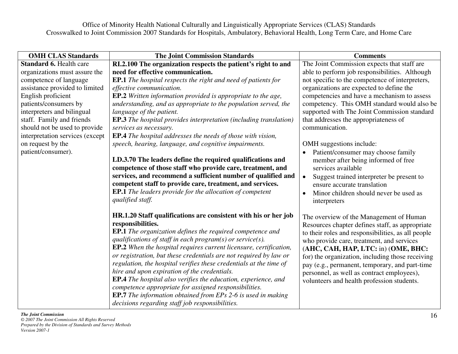| <b>OMH CLAS Standards</b>       | <b>The Joint Commission Standards</b>                                    | <b>Comments</b>                                        |
|---------------------------------|--------------------------------------------------------------------------|--------------------------------------------------------|
| <b>Standard 6. Health care</b>  | RI.2.100 The organization respects the patient's right to and            | The Joint Commission expects that staff are            |
| organizations must assure the   | need for effective communication.                                        | able to perform job responsibilities. Although         |
| competence of language          | <b>EP.1</b> The hospital respects the right and need of patients for     | not specific to the competence of interpreters,        |
| assistance provided to limited  | effective communication.                                                 | organizations are expected to define the               |
| English proficient              | EP.2 Written information provided is appropriate to the age,             | competencies and have a mechanism to assess            |
| patients/consumers by           | understanding, and as appropriate to the population served, the          | competency. This OMH standard would also be            |
| interpreters and bilingual      | language of the patient.                                                 | supported with The Joint Commission standard           |
| staff. Family and friends       | <b>EP.3</b> The hospital provides interpretation (including translation) | that addresses the appropriateness of                  |
| should not be used to provide   | services as necessary.                                                   | communication.                                         |
| interpretation services (except | EP.4 The hospital addresses the needs of those with vision,              |                                                        |
| on request by the               | speech, hearing, language, and cognitive impairments.                    | OMH suggestions include:                               |
| patient/consumer).              |                                                                          | Patient/consumer may choose family                     |
|                                 | LD.3.70 The leaders define the required qualifications and               | member after being informed of free                    |
|                                 | competence of those staff who provide care, treatment, and               | services available                                     |
|                                 | services, and recommend a sufficient number of qualified and             | $\bullet$<br>Suggest trained interpreter be present to |
|                                 | competent staff to provide care, treatment, and services.                | ensure accurate translation                            |
|                                 | <b>EP.1</b> The leaders provide for the allocation of competent          | Minor children should never be used as                 |
|                                 | qualified staff.                                                         | interpreters                                           |
|                                 | HR.1.20 Staff qualifications are consistent with his or her job          | The overview of the Management of Human                |
|                                 | responsibilities.                                                        | Resources chapter defines staff, as appropriate        |
|                                 | <b>EP.1</b> The organization defines the required competence and         | to their roles and responsibilities, as all people     |
|                                 | qualifications of staff in each program(s) or service(s).                | who provide care, treatment, and services              |
|                                 | <b>EP.2</b> When the hospital requires current licensure, certification, | (AHC, CAH, HAP, LTC: in) (OME, BHC:                    |
|                                 | or registration, but these credentials are not required by law or        | for) the organization, including those receiving       |
|                                 | regulation, the hospital verifies these credentials at the time of       | pay (e.g., permanent, temporary, and part-time         |
|                                 | hire and upon expiration of the credentials.                             | personnel, as well as contract employees),             |
|                                 | <b>EP.4</b> The hospital also verifies the education, experience, and    | volunteers and health profession students.             |
|                                 | competence appropriate for assigned responsibilities.                    |                                                        |
|                                 | <b>EP.7</b> The information obtained from EPs 2-6 is used in making      |                                                        |
|                                 | decisions regarding staff job responsibilities.                          |                                                        |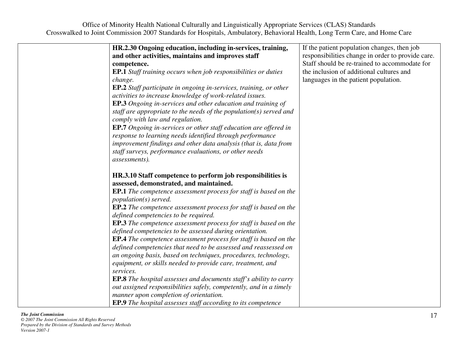| HR.2.30 Ongoing education, including in-services, training,              | If the patient population changes, then job       |
|--------------------------------------------------------------------------|---------------------------------------------------|
| and other activities, maintains and improves staff                       | responsibilities change in order to provide care. |
| competence.                                                              | Staff should be re-trained to accommodate for     |
| <b>EP.1</b> Staff training occurs when job responsibilities or duties    | the inclusion of additional cultures and          |
| change.                                                                  | languages in the patient population.              |
| <b>EP.2</b> Staff participate in ongoing in-services, training, or other |                                                   |
| activities to increase knowledge of work-related issues.                 |                                                   |
| <b>EP.3</b> Ongoing in-services and other education and training of      |                                                   |
| staff are appropriate to the needs of the population( $s$ ) served and   |                                                   |
| comply with law and regulation.                                          |                                                   |
| <b>EP.7</b> Ongoing in-services or other staff education are offered in  |                                                   |
| response to learning needs identified through performance                |                                                   |
| improvement findings and other data analysis (that is, data from         |                                                   |
| staff surveys, performance evaluations, or other needs                   |                                                   |
| assessments).                                                            |                                                   |
|                                                                          |                                                   |
| HR.3.10 Staff competence to perform job responsibilities is              |                                                   |
| assessed, demonstrated, and maintained.                                  |                                                   |
| <b>EP.1</b> The competence assessment process for staff is based on the  |                                                   |
| population(s) served.                                                    |                                                   |
| EP.2 The competence assessment process for staff is based on the         |                                                   |
| defined competencies to be required.                                     |                                                   |
| <b>EP.3</b> The competence assessment process for staff is based on the  |                                                   |
| defined competencies to be assessed during orientation.                  |                                                   |
| <b>EP.4</b> The competence assessment process for staff is based on the  |                                                   |
| defined competencies that need to be assessed and reassessed on          |                                                   |
| an ongoing basis, based on techniques, procedures, technology,           |                                                   |
| equipment, or skills needed to provide care, treatment, and              |                                                   |
| services.                                                                |                                                   |
| <b>EP.8</b> The hospital assesses and documents staff's ability to carry |                                                   |
| out assigned responsibilities safely, competently, and in a timely       |                                                   |
| manner upon completion of orientation.                                   |                                                   |
| <b>EP.9</b> The hospital assesses staff according to its competence      |                                                   |
|                                                                          |                                                   |

### *The Joint Commission*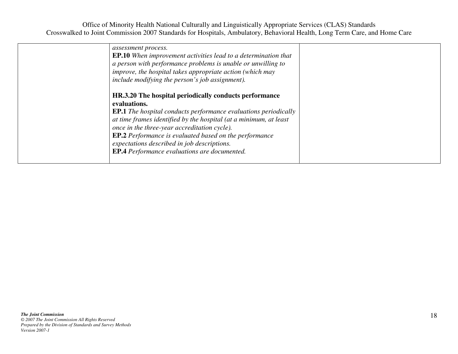| assessment process.<br><b>EP.10</b> When improvement activities lead to a determination that<br>a person with performance problems is unable or unwilling to<br>improve, the hospital takes appropriate action (which may<br>include modifying the person's job assignment).                                                                                                                                                                 |  |
|----------------------------------------------------------------------------------------------------------------------------------------------------------------------------------------------------------------------------------------------------------------------------------------------------------------------------------------------------------------------------------------------------------------------------------------------|--|
| HR.3.20 The hospital periodically conducts performance<br>evaluations.<br><b>EP.1</b> The hospital conducts performance evaluations periodically<br>at time frames identified by the hospital (at a minimum, at least<br>once in the three-year accreditation cycle).<br><b>EP.2</b> Performance is evaluated based on the performance<br>expectations described in job descriptions.<br><b>EP.4</b> Performance evaluations are documented. |  |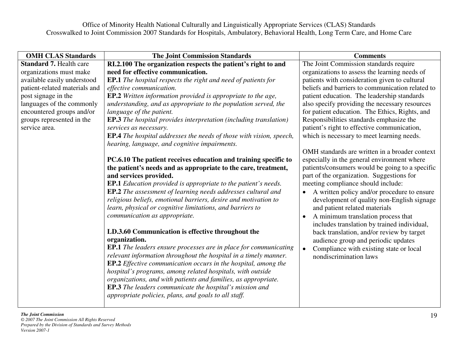| <b>OMH CLAS Standards</b>      | <b>The Joint Commission Standards</b>                                                                                       | <b>Comments</b>                                          |
|--------------------------------|-----------------------------------------------------------------------------------------------------------------------------|----------------------------------------------------------|
| <b>Standard 7. Health care</b> | RI.2.100 The organization respects the patient's right to and                                                               | The Joint Commission standards require                   |
| organizations must make        | need for effective communication.                                                                                           | organizations to assess the learning needs of            |
| available easily understood    | <b>EP.1</b> The hospital respects the right and need of patients for                                                        | patients with consideration given to cultural            |
| patient-related materials and  | effective communication.                                                                                                    | beliefs and barriers to communication related to         |
| post signage in the            | <b>EP.2</b> Written information provided is appropriate to the age,                                                         | patient education. The leadership standards              |
| languages of the commonly      | understanding, and as appropriate to the population served, the                                                             | also specify providing the necessary resources           |
| encountered groups and/or      | language of the patient.                                                                                                    | for patient education. The Ethics, Rights, and           |
| groups represented in the      | <b>EP.3</b> The hospital provides interpretation (including translation)                                                    | Responsibilities standards emphasize the                 |
| service area.                  | services as necessary.                                                                                                      | patient's right to effective communication,              |
|                                | <b>EP.4</b> The hospital addresses the needs of those with vision, speech,<br>hearing, language, and cognitive impairments. | which is necessary to meet learning needs.               |
|                                |                                                                                                                             | OMH standards are written in a broader context           |
|                                | PC.6.10 The patient receives education and training specific to                                                             | especially in the general environment where              |
|                                | the patient's needs and as appropriate to the care, treatment,                                                              | patients/consumers would be going to a specific          |
|                                | and services provided.                                                                                                      | part of the organization. Suggestions for                |
|                                | <b>EP.1</b> Education provided is appropriate to the patient's needs.                                                       | meeting compliance should include:                       |
|                                | EP.2 The assessment of learning needs addresses cultural and                                                                | A written policy and/or procedure to ensure<br>$\bullet$ |
|                                | religious beliefs, emotional barriers, desire and motivation to                                                             | development of quality non-English signage               |
|                                | learn, physical or cognitive limitations, and barriers to                                                                   | and patient related materials                            |
|                                | communication as appropriate.                                                                                               | A minimum translation process that<br>$\bullet$          |
|                                |                                                                                                                             | includes translation by trained individual,              |
|                                | LD.3.60 Communication is effective throughout the                                                                           | back translation, and/or review by target                |
|                                | organization.                                                                                                               | audience group and periodic updates                      |
|                                | <b>EP.1</b> The leaders ensure processes are in place for communicating                                                     | Compliance with existing state or local                  |
|                                | relevant information throughout the hospital in a timely manner.                                                            | nondiscrimination laws                                   |
|                                | EP.2 Effective communication occurs in the hospital, among the                                                              |                                                          |
|                                | hospital's programs, among related hospitals, with outside                                                                  |                                                          |
|                                | organizations, and with patients and families, as appropriate.                                                              |                                                          |
|                                | <b>EP.3</b> The leaders communicate the hospital's mission and                                                              |                                                          |
|                                | appropriate policies, plans, and goals to all staff.                                                                        |                                                          |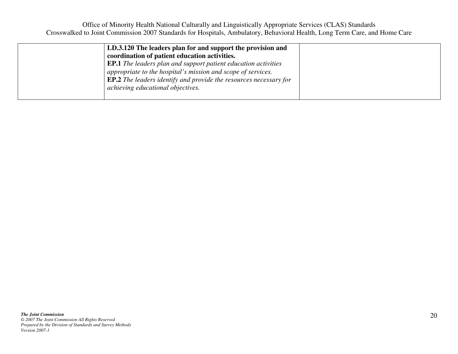| LD.3.120 The leaders plan for and support the provision and<br>coordination of patient education activities.<br><b>EP.1</b> The leaders plan and support patient education activities<br>appropriate to the hospital's mission and scope of services.<br><b>EP.2</b> The leaders identify and provide the resources necessary for |  |  |
|-----------------------------------------------------------------------------------------------------------------------------------------------------------------------------------------------------------------------------------------------------------------------------------------------------------------------------------|--|--|
| achieving educational objectives.                                                                                                                                                                                                                                                                                                 |  |  |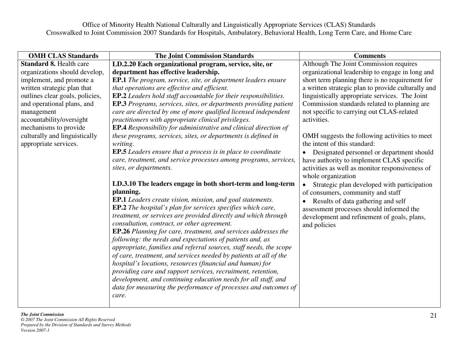| <b>OMH CLAS Standards</b>       | <b>The Joint Commission Standards</b>                                                                                       | <b>Comments</b>                                    |
|---------------------------------|-----------------------------------------------------------------------------------------------------------------------------|----------------------------------------------------|
| <b>Standard 8. Health care</b>  | LD.2.20 Each organizational program, service, site, or                                                                      | Although The Joint Commission requires             |
| organizations should develop,   | department has effective leadership.                                                                                        | organizational leadership to engage in long and    |
| implement, and promote a        | <b>EP.1</b> The program, service, site, or department leaders ensure                                                        | short term planning there is no requirement for    |
| written strategic plan that     | that operations are effective and efficient.                                                                                | a written strategic plan to provide culturally and |
| outlines clear goals, policies, | <b>EP.2</b> Leaders hold staff accountable for their responsibilities.                                                      | linguistically appropriate services. The Joint     |
| and operational plans, and      | <b>EP.3</b> Programs, services, sites, or departments providing patient                                                     | Commission standards related to planning are       |
| management                      | care are directed by one of more qualified licensed independent                                                             | not specific to carrying out CLAS-related          |
| accountability/oversight        | practitioners with appropriate clinical privileges.                                                                         | activities.                                        |
| mechanisms to provide           | <b>EP.4</b> Responsibility for administrative and clinical direction of                                                     |                                                    |
| culturally and linguistically   | these programs, services, sites, or departments is defined in                                                               | OMH suggests the following activities to meet      |
| appropriate services.           | writing.                                                                                                                    | the intent of this standard:                       |
|                                 | <b>EP.5</b> Leaders ensure that a process is in place to coordinate                                                         | Designated personnel or department should          |
|                                 | care, treatment, and service processes among programs, services,                                                            | have authority to implement CLAS specific          |
|                                 | sites, or departments.                                                                                                      | activities as well as monitor responsiveness of    |
|                                 |                                                                                                                             | whole organization                                 |
|                                 | LD.3.10 The leaders engage in both short-term and long-term                                                                 | Strategic plan developed with participation        |
|                                 | planning.                                                                                                                   | of consumers, community and staff                  |
|                                 | <b>EP.1</b> Leaders create vision, mission, and goal statements.                                                            | Results of data gathering and self                 |
|                                 | EP.2 The hospital's plan for services specifies which care,                                                                 | assessment processes should informed the           |
|                                 | treatment, or services are provided directly and which through                                                              | development and refinement of goals, plans,        |
|                                 | consultation, contract, or other agreement.                                                                                 | and policies                                       |
|                                 | EP.26 Planning for care, treatment, and services addresses the<br>following: the needs and expectations of patients and, as |                                                    |
|                                 | appropriate, families and referral sources, staff needs, the scope                                                          |                                                    |
|                                 | of care, treatment, and services needed by patients at all of the                                                           |                                                    |
|                                 | hospital's locations, resources (financial and human) for                                                                   |                                                    |
|                                 | providing care and support services, recruitment, retention,                                                                |                                                    |
|                                 | development, and continuing education needs for all staff, and                                                              |                                                    |
|                                 | data for measuring the performance of processes and outcomes of                                                             |                                                    |
|                                 | care.                                                                                                                       |                                                    |
|                                 |                                                                                                                             |                                                    |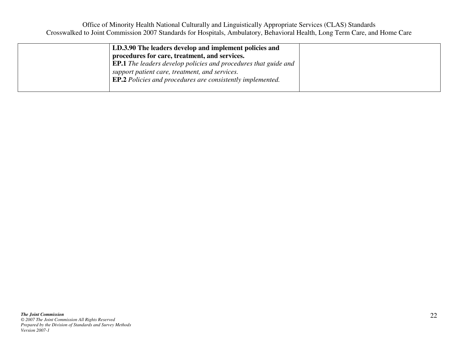| LD.3.90 The leaders develop and implement policies and                 |
|------------------------------------------------------------------------|
| procedures for care, treatment, and services.                          |
| <b>EP.1</b> The leaders develop policies and procedures that guide and |
| support patient care, treatment, and services.                         |
| <b>EP.2</b> Policies and procedures are consistently implemented.      |
|                                                                        |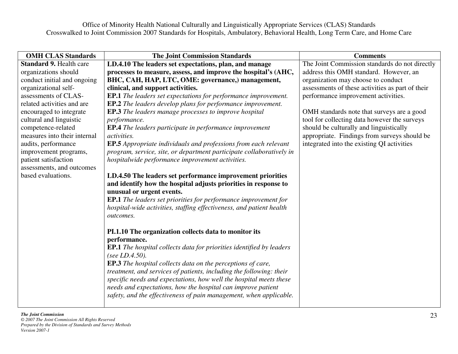| <b>OMH CLAS Standards</b>      | <b>The Joint Commission Standards</b>                                       | <b>Comments</b>                                  |
|--------------------------------|-----------------------------------------------------------------------------|--------------------------------------------------|
| <b>Standard 9. Health care</b> | LD.4.10 The leaders set expectations, plan, and manage                      | The Joint Commission standards do not directly   |
| organizations should           | processes to measure, assess, and improve the hospital's (AHC,              | address this OMH standard. However, an           |
| conduct initial and ongoing    | BHC, CAH, HAP, LTC, OME: governance,) management,                           | organization may choose to conduct               |
| organizational self-           | clinical, and support activities.                                           | assessments of these activities as part of their |
| assessments of CLAS-           | <b>EP.1</b> The leaders set expectations for performance improvement.       | performance improvement activities.              |
| related activities and are     | <b>EP.2</b> The leaders develop plans for performance improvement.          |                                                  |
| encouraged to integrate        | <b>EP.3</b> The leaders manage processes to improve hospital                | OMH standards note that surveys are a good       |
| cultural and linguistic        | performance.                                                                | tool for collecting data however the surveys     |
| competence-related             | <b>EP.4</b> The leaders participate in performance improvement              | should be culturally and linguistically          |
| measures into their internal   | activities.                                                                 | appropriate. Findings from surveys should be     |
| audits, performance            | EP.5 Appropriate individuals and professions from each relevant             | integrated into the existing QI activities       |
| improvement programs,          | program, service, site, or department participate collaboratively in        |                                                  |
| patient satisfaction           | hospitalwide performance improvement activities.                            |                                                  |
| assessments, and outcomes      |                                                                             |                                                  |
| based evaluations.             | LD.4.50 The leaders set performance improvement priorities                  |                                                  |
|                                | and identify how the hospital adjusts priorities in response to             |                                                  |
|                                | unusual or urgent events.                                                   |                                                  |
|                                | <b>EP.1</b> The leaders set priorities for performance improvement for      |                                                  |
|                                | hospital-wide activities, staffing effectiveness, and patient health        |                                                  |
|                                | outcomes.                                                                   |                                                  |
|                                |                                                                             |                                                  |
|                                | PI.1.10 The organization collects data to monitor its                       |                                                  |
|                                | performance.                                                                |                                                  |
|                                | <b>EP.1</b> The hospital collects data for priorities identified by leaders |                                                  |
|                                | (see LD.4.50).                                                              |                                                  |
|                                | <b>EP.3</b> The hospital collects data on the perceptions of care,          |                                                  |
|                                | treatment, and services of patients, including the following: their         |                                                  |
|                                | specific needs and expectations, how well the hospital meets these          |                                                  |
|                                | needs and expectations, how the hospital can improve patient                |                                                  |
|                                | safety, and the effectiveness of pain management, when applicable.          |                                                  |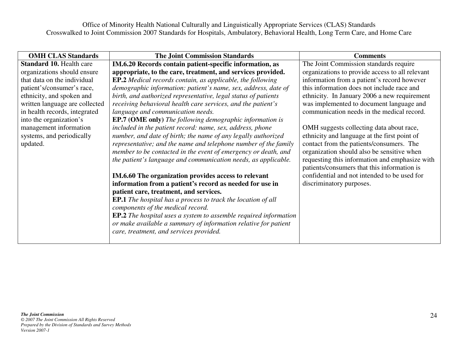| <b>OMH CLAS Standards</b>       | <b>The Joint Commission Standards</b>                                   | <b>Comments</b>                                                                               |
|---------------------------------|-------------------------------------------------------------------------|-----------------------------------------------------------------------------------------------|
| <b>Standard 10. Health care</b> | IM.6.20 Records contain patient-specific information, as                | The Joint Commission standards require                                                        |
| organizations should ensure     | appropriate, to the care, treatment, and services provided.             | organizations to provide access to all relevant                                               |
| that data on the individual     | <b>EP.2</b> Medical records contain, as applicable, the following       | information from a patient's record however                                                   |
| patient's/consumer's race,      | demographic information: patient's name, sex, address, date of          | this information does not include race and                                                    |
| ethnicity, and spoken and       | birth, and authorized representative, legal status of patients          | ethnicity. In January 2006 a new requirement                                                  |
| written language are collected  | receiving behavioral health care services, and the patient's            | was implemented to document language and                                                      |
| in health records, integrated   | language and communication needs.                                       | communication needs in the medical record.                                                    |
| into the organization's         | <b>EP.7 (OME only)</b> The following demographic information is         |                                                                                               |
| management information          | included in the patient record: name, sex, address, phone               | OMH suggests collecting data about race,                                                      |
| systems, and periodically       | number, and date of birth; the name of any legally authorized           | ethnicity and language at the first point of                                                  |
| updated.                        | representative; and the name and telephone number of the family         | contact from the patients/consumers. The                                                      |
|                                 | member to be contacted in the event of emergency or death, and          | organization should also be sensitive when                                                    |
|                                 | the patient's language and communication needs, as applicable.          | requesting this information and emphasize with<br>patients/consumers that this information is |
|                                 | IM.6.60 The organization provides access to relevant                    | confidential and not intended to be used for                                                  |
|                                 | information from a patient's record as needed for use in                | discriminatory purposes.                                                                      |
|                                 | patient care, treatment, and services.                                  |                                                                                               |
|                                 | <b>EP.1</b> The hospital has a process to track the location of all     |                                                                                               |
|                                 | components of the medical record.                                       |                                                                                               |
|                                 | <b>EP.2</b> The hospital uses a system to assemble required information |                                                                                               |
|                                 | or make available a summary of information relative for patient         |                                                                                               |
|                                 | care, treatment, and services provided.                                 |                                                                                               |
|                                 |                                                                         |                                                                                               |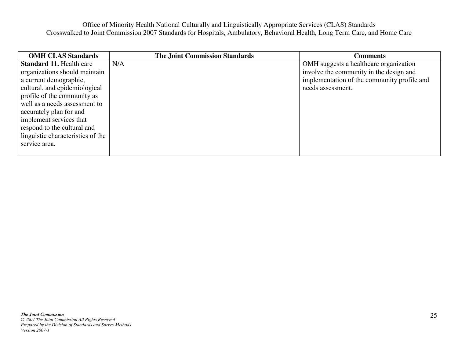| <b>OMH CLAS Standards</b>         | <b>The Joint Commission Standards</b> | <b>Comments</b>                             |
|-----------------------------------|---------------------------------------|---------------------------------------------|
| <b>Standard 11. Health care</b>   | N/A                                   | OMH suggests a healthcare organization      |
| organizations should maintain     |                                       | involve the community in the design and     |
| a current demographic,            |                                       | implementation of the community profile and |
| cultural, and epidemiological     |                                       | needs assessment.                           |
| profile of the community as       |                                       |                                             |
| well as a needs assessment to     |                                       |                                             |
| accurately plan for and           |                                       |                                             |
| implement services that           |                                       |                                             |
| respond to the cultural and       |                                       |                                             |
| linguistic characteristics of the |                                       |                                             |
| service area.                     |                                       |                                             |
|                                   |                                       |                                             |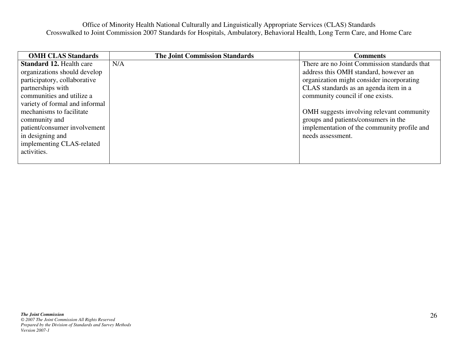| <b>OMH CLAS Standards</b>       | <b>The Joint Commission Standards</b> | <b>Comments</b>                              |
|---------------------------------|---------------------------------------|----------------------------------------------|
| <b>Standard 12. Health care</b> | N/A                                   | There are no Joint Commission standards that |
| organizations should develop    |                                       | address this OMH standard, however an        |
| participatory, collaborative    |                                       | organization might consider incorporating    |
| partnerships with               |                                       | CLAS standards as an agenda item in a        |
| communities and utilize a       |                                       | community council if one exists.             |
| variety of formal and informal  |                                       |                                              |
| mechanisms to facilitate        |                                       | OMH suggests involving relevant community    |
| community and                   |                                       | groups and patients/consumers in the         |
| patient/consumer involvement    |                                       | implementation of the community profile and  |
| in designing and                |                                       | needs assessment.                            |
| implementing CLAS-related       |                                       |                                              |
| activities.                     |                                       |                                              |
|                                 |                                       |                                              |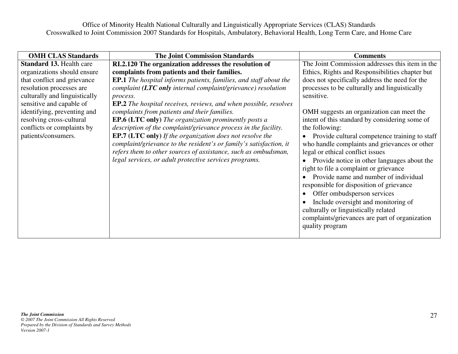| <b>OMH CLAS Standards</b>       | <b>The Joint Commission Standards</b>                                    | <b>Comments</b>                                 |
|---------------------------------|--------------------------------------------------------------------------|-------------------------------------------------|
| <b>Standard 13. Health care</b> | RI.2.120 The organization addresses the resolution of                    | The Joint Commission addresses this item in the |
| organizations should ensure     | complaints from patients and their families.                             | Ethics, Rights and Responsibilities chapter but |
| that conflict and grievance     | <b>EP.1</b> The hospital informs patients, families, and staff about the | does not specifically address the need for the  |
| resolution processes are        | complaint (LTC only internal complaint/grievance) resolution             | processes to be culturally and linguistically   |
| culturally and linguistically   | process.                                                                 | sensitive.                                      |
| sensitive and capable of        | <b>EP.2</b> The hospital receives, reviews, and when possible, resolves  |                                                 |
| identifying, preventing and     | complaints from patients and their families.                             | OMH suggests an organization can meet the       |
| resolving cross-cultural        | <b>EP.6 (LTC only)</b> The organization prominently posts a              | intent of this standard by considering some of  |
| conflicts or complaints by      | description of the complaint/grievance process in the facility.          | the following:                                  |
| patients/consumers.             | <b>EP.7 (LTC only)</b> If the organization does not resolve the          | Provide cultural competence training to staff   |
|                                 | complaint/grievance to the resident's or family's satisfaction, it       | who handle complaints and grievances or other   |
|                                 | refers them to other sources of assistance, such as ombudsman,           | legal or ethical conflict issues                |
|                                 | legal services, or adult protective services programs.                   | Provide notice in other languages about the     |
|                                 |                                                                          | right to file a complaint or grievance          |
|                                 |                                                                          | Provide name and number of individual           |
|                                 |                                                                          | responsible for disposition of grievance        |
|                                 |                                                                          | Offer ombudsperson services                     |
|                                 |                                                                          | Include oversight and monitoring of             |
|                                 |                                                                          | culturally or linguistically related            |
|                                 |                                                                          | complaints/grievances are part of organization  |
|                                 |                                                                          | quality program                                 |
|                                 |                                                                          |                                                 |